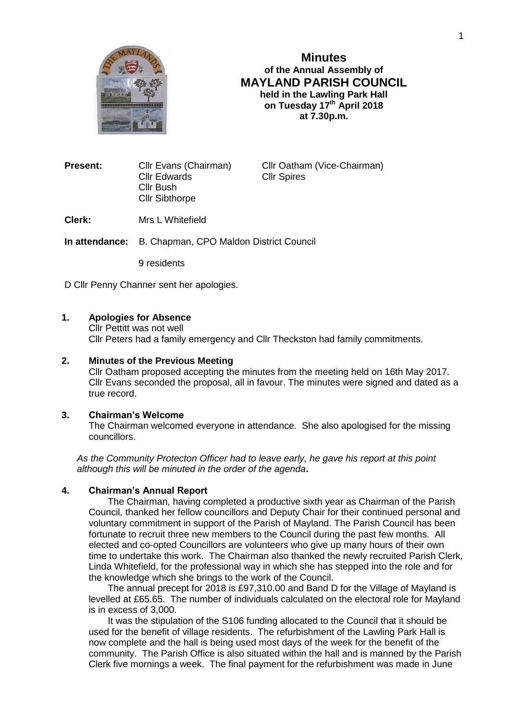

# **Minutes of the Annual Assembly of MAYLAND PARISH COUNCIL held in the Lawling Park Hall on Tuesday 17th April 2018 at 7.30p.m.**

**Present:** Cllr Evans (Chairman) Cllr Oatham (Vice-Chairman) Cllr Edwards Cllr Spires Cllr Bush Cllr Sibthorpe

**Clerk:** Mrs L Whitefield

**In attendance:** B. Chapman, CPO Maldon District Council

9 residents

D Cllr Penny Channer sent her apologies.

# **1. Apologies for Absence**

Cllr Pettitt was not well Cllr Peters had a family emergency and Cllr Theckston had family commitments.

# **2. Minutes of the Previous Meeting**

Cllr Oatham proposed accepting the minutes from the meeting held on 16th May 2017. Cllr Evans seconded the proposal, all in favour. The minutes were signed and dated as a true record.

#### **3. Chairman's Welcome**

The Chairman welcomed everyone in attendance. She also apologised for the missing councillors.

*As the Community Protecton Officer had to leave early, he gave his report at this point although this will be minuted in the order of the agenda***.**

## **4. Chairman's Annual Report**

The Chairman, having completed a productive sixth year as Chairman of the Parish Council, thanked her fellow councillors and Deputy Chair for their continued personal and voluntary commitment in support of the Parish of Mayland. The Parish Council has been fortunate to recruit three new members to the Council during the past few months. All elected and co-opted Councillors are volunteers who give up many hours of their own time to undertake this work. The Chairman also thanked the newly recruited Parish Clerk, Linda Whitefield, for the professional way in which she has stepped into the role and for the knowledge which she brings to the work of the Council.

The annual precept for 2018 is £97,310.00 and Band D for the Village of Mayland is levelled at £65.65. The number of individuals calculated on the electoral role for Mayland is in excess of 3,000.

It was the stipulation of the S106 funding allocated to the Council that it should be used for the benefit of village residents. The refurbishment of the Lawling Park Hall is now complete and the hall is being used most days of the week for the benefit of the community. The Parish Office is also situated within the hall and is manned by the Parish Clerk five mornings a week. The final payment for the refurbishment was made in June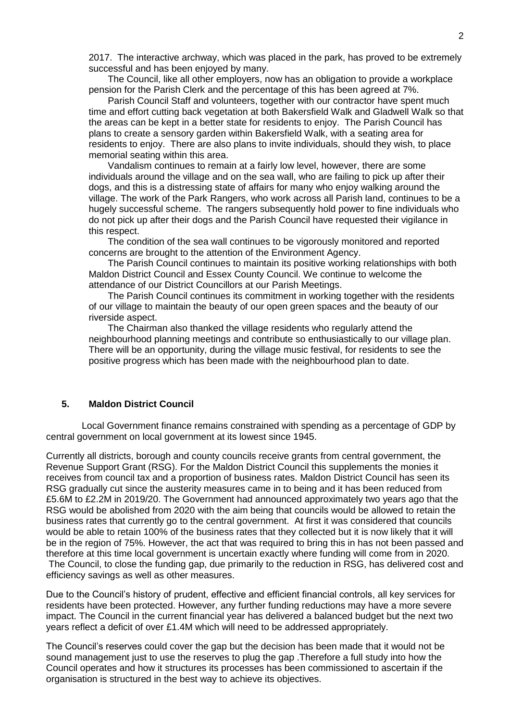2017. The interactive archway, which was placed in the park, has proved to be extremely successful and has been enjoyed by many.

The Council, like all other employers, now has an obligation to provide a workplace pension for the Parish Clerk and the percentage of this has been agreed at 7%.

Parish Council Staff and volunteers, together with our contractor have spent much time and effort cutting back vegetation at both Bakersfield Walk and Gladwell Walk so that the areas can be kept in a better state for residents to enjoy. The Parish Council has plans to create a sensory garden within Bakersfield Walk, with a seating area for residents to enjoy. There are also plans to invite individuals, should they wish, to place memorial seating within this area.

Vandalism continues to remain at a fairly low level, however, there are some individuals around the village and on the sea wall, who are failing to pick up after their dogs, and this is a distressing state of affairs for many who enjoy walking around the village. The work of the Park Rangers, who work across all Parish land, continues to be a hugely successful scheme. The rangers subsequently hold power to fine individuals who do not pick up after their dogs and the Parish Council have requested their vigilance in this respect.

The condition of the sea wall continues to be vigorously monitored and reported concerns are brought to the attention of the Environment Agency.

The Parish Council continues to maintain its positive working relationships with both Maldon District Council and Essex County Council. We continue to welcome the attendance of our District Councillors at our Parish Meetings.

The Parish Council continues its commitment in working together with the residents of our village to maintain the beauty of our open green spaces and the beauty of our riverside aspect.

The Chairman also thanked the village residents who regularly attend the neighbourhood planning meetings and contribute so enthusiastically to our village plan. There will be an opportunity, during the village music festival, for residents to see the positive progress which has been made with the neighbourhood plan to date.

# **5. Maldon District Council**

 Local Government finance remains constrained with spending as a percentage of GDP by central government on local government at its lowest since 1945.

Currently all districts, borough and county councils receive grants from central government, the Revenue Support Grant (RSG). For the Maldon District Council this supplements the monies it receives from council tax and a proportion of business rates. Maldon District Council has seen its RSG gradually cut since the austerity measures came in to being and it has been reduced from £5.6M to £2.2M in 2019/20. The Government had announced approximately two years ago that the RSG would be abolished from 2020 with the aim being that councils would be allowed to retain the business rates that currently go to the central government. At first it was considered that councils would be able to retain 100% of the business rates that they collected but it is now likely that it will be in the region of 75%. However, the act that was required to bring this in has not been passed and therefore at this time local government is uncertain exactly where funding will come from in 2020. The Council, to close the funding gap, due primarily to the reduction in RSG, has delivered cost and efficiency savings as well as other measures.

Due to the Council's history of prudent, effective and efficient financial controls, all key services for residents have been protected. However, any further funding reductions may have a more severe impact. The Council in the current financial year has delivered a balanced budget but the next two years reflect a deficit of over £1.4M which will need to be addressed appropriately.

The Council's reserves could cover the gap but the decision has been made that it would not be sound management just to use the reserves to plug the gap .Therefore a full study into how the Council operates and how it structures its processes has been commissioned to ascertain if the organisation is structured in the best way to achieve its objectives.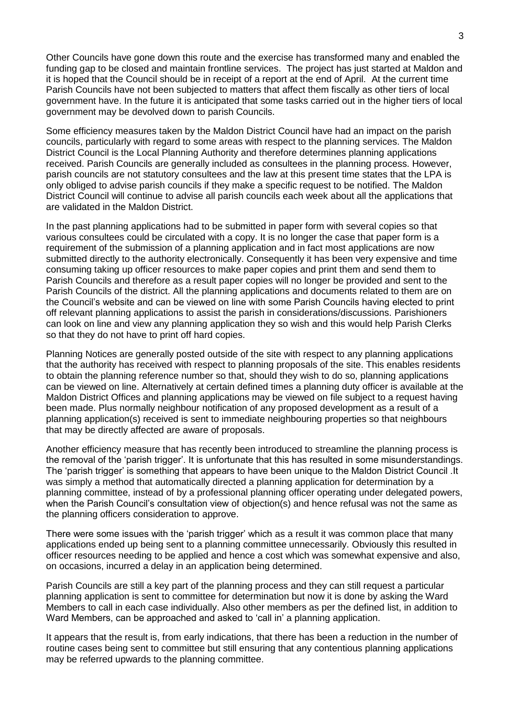Other Councils have gone down this route and the exercise has transformed many and enabled the funding gap to be closed and maintain frontline services. The project has just started at Maldon and it is hoped that the Council should be in receipt of a report at the end of April. At the current time Parish Councils have not been subjected to matters that affect them fiscally as other tiers of local government have. In the future it is anticipated that some tasks carried out in the higher tiers of local government may be devolved down to parish Councils.

Some efficiency measures taken by the Maldon District Council have had an impact on the parish councils, particularly with regard to some areas with respect to the planning services. The Maldon District Council is the Local Planning Authority and therefore determines planning applications received. Parish Councils are generally included as consultees in the planning process. However, parish councils are not statutory consultees and the law at this present time states that the LPA is only obliged to advise parish councils if they make a specific request to be notified. The Maldon District Council will continue to advise all parish councils each week about all the applications that are validated in the Maldon District.

In the past planning applications had to be submitted in paper form with several copies so that various consultees could be circulated with a copy. It is no longer the case that paper form is a requirement of the submission of a planning application and in fact most applications are now submitted directly to the authority electronically. Consequently it has been very expensive and time consuming taking up officer resources to make paper copies and print them and send them to Parish Councils and therefore as a result paper copies will no longer be provided and sent to the Parish Councils of the district. All the planning applications and documents related to them are on the Council's website and can be viewed on line with some Parish Councils having elected to print off relevant planning applications to assist the parish in considerations/discussions. Parishioners can look on line and view any planning application they so wish and this would help Parish Clerks so that they do not have to print off hard copies.

Planning Notices are generally posted outside of the site with respect to any planning applications that the authority has received with respect to planning proposals of the site. This enables residents to obtain the planning reference number so that, should they wish to do so, planning applications can be viewed on line. Alternatively at certain defined times a planning duty officer is available at the Maldon District Offices and planning applications may be viewed on file subject to a request having been made. Plus normally neighbour notification of any proposed development as a result of a planning application(s) received is sent to immediate neighbouring properties so that neighbours that may be directly affected are aware of proposals.

Another efficiency measure that has recently been introduced to streamline the planning process is the removal of the 'parish trigger'. It is unfortunate that this has resulted in some misunderstandings. The 'parish trigger' is something that appears to have been unique to the Maldon District Council .It was simply a method that automatically directed a planning application for determination by a planning committee, instead of by a professional planning officer operating under delegated powers, when the Parish Council's consultation view of objection(s) and hence refusal was not the same as the planning officers consideration to approve.

There were some issues with the 'parish trigger' which as a result it was common place that many applications ended up being sent to a planning committee unnecessarily. Obviously this resulted in officer resources needing to be applied and hence a cost which was somewhat expensive and also, on occasions, incurred a delay in an application being determined.

Parish Councils are still a key part of the planning process and they can still request a particular planning application is sent to committee for determination but now it is done by asking the Ward Members to call in each case individually. Also other members as per the defined list, in addition to Ward Members, can be approached and asked to 'call in' a planning application.

It appears that the result is, from early indications, that there has been a reduction in the number of routine cases being sent to committee but still ensuring that any contentious planning applications may be referred upwards to the planning committee.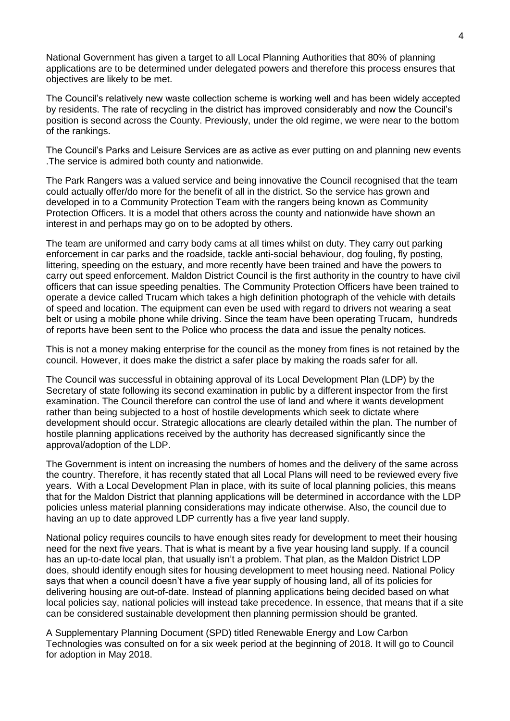National Government has given a target to all Local Planning Authorities that 80% of planning applications are to be determined under delegated powers and therefore this process ensures that objectives are likely to be met.

The Council's relatively new waste collection scheme is working well and has been widely accepted by residents. The rate of recycling in the district has improved considerably and now the Council's position is second across the County. Previously, under the old regime, we were near to the bottom of the rankings.

The Council's Parks and Leisure Services are as active as ever putting on and planning new events .The service is admired both county and nationwide.

The Park Rangers was a valued service and being innovative the Council recognised that the team could actually offer/do more for the benefit of all in the district. So the service has grown and developed in to a Community Protection Team with the rangers being known as Community Protection Officers. It is a model that others across the county and nationwide have shown an interest in and perhaps may go on to be adopted by others.

The team are uniformed and carry body cams at all times whilst on duty. They carry out parking enforcement in car parks and the roadside, tackle anti-social behaviour, dog fouling, fly posting, littering, speeding on the estuary, and more recently have been trained and have the powers to carry out speed enforcement. Maldon District Council is the first authority in the country to have civil officers that can issue speeding penalties. The Community Protection Officers have been trained to operate a device called Trucam which takes a high definition photograph of the vehicle with details of speed and location. The equipment can even be used with regard to drivers not wearing a seat belt or using a mobile phone while driving. Since the team have been operating Trucam, hundreds of reports have been sent to the Police who process the data and issue the penalty notices.

This is not a money making enterprise for the council as the money from fines is not retained by the council. However, it does make the district a safer place by making the roads safer for all.

The Council was successful in obtaining approval of its Local Development Plan (LDP) by the Secretary of state following its second examination in public by a different inspector from the first examination. The Council therefore can control the use of land and where it wants development rather than being subjected to a host of hostile developments which seek to dictate where development should occur. Strategic allocations are clearly detailed within the plan. The number of hostile planning applications received by the authority has decreased significantly since the approval/adoption of the LDP.

The Government is intent on increasing the numbers of homes and the delivery of the same across the country. Therefore, it has recently stated that all Local Plans will need to be reviewed every five years. With a Local Development Plan in place, with its suite of local planning policies, this means that for the Maldon District that planning applications will be determined in accordance with the LDP policies unless material planning considerations may indicate otherwise. Also, the council due to having an up to date approved LDP currently has a five year land supply.

National policy requires councils to have enough sites ready for development to meet their housing need for the next five years. That is what is meant by a five year housing land supply. If a council has an up-to-date local plan, that usually isn't a problem. That plan, as the Maldon District LDP does, should identify enough sites for housing development to meet housing need. National Policy says that when a council doesn't have a five year supply of housing land, all of its policies for delivering housing are out-of-date. Instead of planning applications being decided based on what local policies say, national policies will instead take precedence. In essence, that means that if a site can be considered sustainable development then planning permission should be granted.

A Supplementary Planning Document (SPD) titled Renewable Energy and Low Carbon Technologies was consulted on for a six week period at the beginning of 2018. It will go to Council for adoption in May 2018.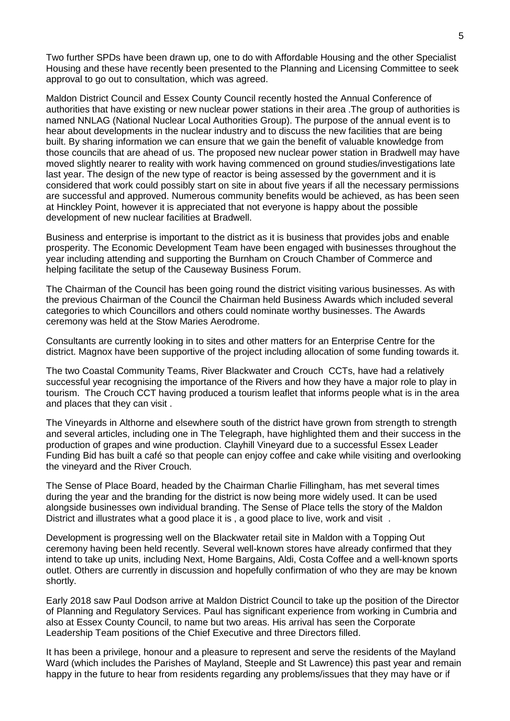Two further SPDs have been drawn up, one to do with Affordable Housing and the other Specialist Housing and these have recently been presented to the Planning and Licensing Committee to seek approval to go out to consultation, which was agreed.

Maldon District Council and Essex County Council recently hosted the Annual Conference of authorities that have existing or new nuclear power stations in their area .The group of authorities is named NNLAG (National Nuclear Local Authorities Group). The purpose of the annual event is to hear about developments in the nuclear industry and to discuss the new facilities that are being built. By sharing information we can ensure that we gain the benefit of valuable knowledge from those councils that are ahead of us. The proposed new nuclear power station in Bradwell may have moved slightly nearer to reality with work having commenced on ground studies/investigations late last year. The design of the new type of reactor is being assessed by the government and it is considered that work could possibly start on site in about five years if all the necessary permissions are successful and approved. Numerous community benefits would be achieved, as has been seen at Hinckley Point, however it is appreciated that not everyone is happy about the possible development of new nuclear facilities at Bradwell.

Business and enterprise is important to the district as it is business that provides jobs and enable prosperity. The Economic Development Team have been engaged with businesses throughout the year including attending and supporting the Burnham on Crouch Chamber of Commerce and helping facilitate the setup of the Causeway Business Forum.

The Chairman of the Council has been going round the district visiting various businesses. As with the previous Chairman of the Council the Chairman held Business Awards which included several categories to which Councillors and others could nominate worthy businesses. The Awards ceremony was held at the Stow Maries Aerodrome.

Consultants are currently looking in to sites and other matters for an Enterprise Centre for the district. Magnox have been supportive of the project including allocation of some funding towards it.

The two Coastal Community Teams, River Blackwater and Crouch CCTs, have had a relatively successful year recognising the importance of the Rivers and how they have a major role to play in tourism. The Crouch CCT having produced a tourism leaflet that informs people what is in the area and places that they can visit .

The Vineyards in Althorne and elsewhere south of the district have grown from strength to strength and several articles, including one in The Telegraph, have highlighted them and their success in the production of grapes and wine production. Clayhill Vineyard due to a successful Essex Leader Funding Bid has built a café so that people can enjoy coffee and cake while visiting and overlooking the vineyard and the River Crouch.

The Sense of Place Board, headed by the Chairman Charlie Fillingham, has met several times during the year and the branding for the district is now being more widely used. It can be used alongside businesses own individual branding. The Sense of Place tells the story of the Maldon District and illustrates what a good place it is, a good place to live, work and visit.

Development is progressing well on the Blackwater retail site in Maldon with a Topping Out ceremony having been held recently. Several well-known stores have already confirmed that they intend to take up units, including Next, Home Bargains, Aldi, Costa Coffee and a well-known sports outlet. Others are currently in discussion and hopefully confirmation of who they are may be known shortly.

Early 2018 saw Paul Dodson arrive at Maldon District Council to take up the position of the Director of Planning and Regulatory Services. Paul has significant experience from working in Cumbria and also at Essex County Council, to name but two areas. His arrival has seen the Corporate Leadership Team positions of the Chief Executive and three Directors filled.

It has been a privilege, honour and a pleasure to represent and serve the residents of the Mayland Ward (which includes the Parishes of Mayland, Steeple and St Lawrence) this past year and remain happy in the future to hear from residents regarding any problems/issues that they may have or if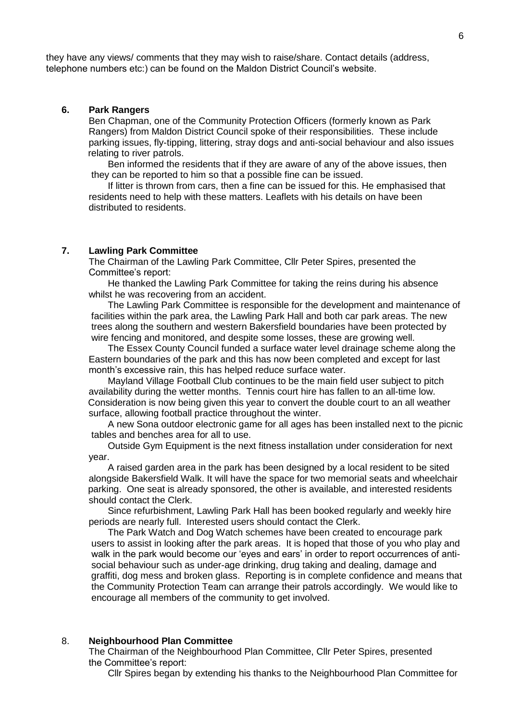they have any views/ comments that they may wish to raise/share. Contact details (address, telephone numbers etc:) can be found on the Maldon District Council's website.

## **6. Park Rangers**

Ben Chapman, one of the Community Protection Officers (formerly known as Park Rangers) from Maldon District Council spoke of their responsibilities. These include parking issues, fly-tipping, littering, stray dogs and anti-social behaviour and also issues relating to river patrols.

Ben informed the residents that if they are aware of any of the above issues, then they can be reported to him so that a possible fine can be issued.

If litter is thrown from cars, then a fine can be issued for this. He emphasised that residents need to help with these matters. Leaflets with his details on have been distributed to residents.

#### **7. Lawling Park Committee**

The Chairman of the Lawling Park Committee, Cllr Peter Spires, presented the Committee's report:

He thanked the Lawling Park Committee for taking the reins during his absence whilst he was recovering from an accident.

The Lawling Park Committee is responsible for the development and maintenance of facilities within the park area, the Lawling Park Hall and both car park areas. The new trees along the southern and western Bakersfield boundaries have been protected by wire fencing and monitored, and despite some losses, these are growing well.

The Essex County Council funded a surface water level drainage scheme along the Eastern boundaries of the park and this has now been completed and except for last month's excessive rain, this has helped reduce surface water.

Mayland Village Football Club continues to be the main field user subject to pitch availability during the wetter months. Tennis court hire has fallen to an all-time low. Consideration is now being given this year to convert the double court to an all weather surface, allowing football practice throughout the winter.

A new Sona outdoor electronic game for all ages has been installed next to the picnic tables and benches area for all to use.

Outside Gym Equipment is the next fitness installation under consideration for next year.

A raised garden area in the park has been designed by a local resident to be sited alongside Bakersfield Walk. It will have the space for two memorial seats and wheelchair parking. One seat is already sponsored, the other is available, and interested residents should contact the Clerk.

Since refurbishment, Lawling Park Hall has been booked regularly and weekly hire periods are nearly full. Interested users should contact the Clerk.

The Park Watch and Dog Watch schemes have been created to encourage park users to assist in looking after the park areas. It is hoped that those of you who play and walk in the park would become our 'eyes and ears' in order to report occurrences of antisocial behaviour such as under-age drinking, drug taking and dealing, damage and graffiti, dog mess and broken glass. Reporting is in complete confidence and means that the Community Protection Team can arrange their patrols accordingly. We would like to encourage all members of the community to get involved.

### 8. **Neighbourhood Plan Committee**

The Chairman of the Neighbourhood Plan Committee, Cllr Peter Spires, presented the Committee's report:

Cllr Spires began by extending his thanks to the Neighbourhood Plan Committee for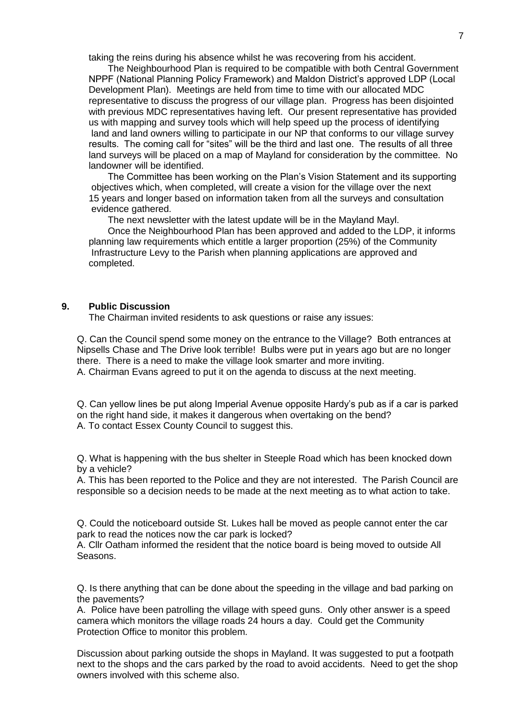taking the reins during his absence whilst he was recovering from his accident.

The Neighbourhood Plan is required to be compatible with both Central Government NPPF (National Planning Policy Framework) and Maldon District's approved LDP (Local Development Plan). Meetings are held from time to time with our allocated MDC representative to discuss the progress of our village plan. Progress has been disjointed with previous MDC representatives having left. Our present representative has provided us with mapping and survey tools which will help speed up the process of identifying land and land owners willing to participate in our NP that conforms to our village survey results. The coming call for "sites" will be the third and last one. The results of all three land surveys will be placed on a map of Mayland for consideration by the committee. No landowner will be identified.

The Committee has been working on the Plan's Vision Statement and its supporting objectives which, when completed, will create a vision for the village over the next 15 years and longer based on information taken from all the surveys and consultation evidence gathered.

The next newsletter with the latest update will be in the Mayland Mayl.

Once the Neighbourhood Plan has been approved and added to the LDP, it informs planning law requirements which entitle a larger proportion (25%) of the Community Infrastructure Levy to the Parish when planning applications are approved and completed.

#### **9. Public Discussion**

The Chairman invited residents to ask questions or raise any issues:

Q. Can the Council spend some money on the entrance to the Village? Both entrances at Nipsells Chase and The Drive look terrible! Bulbs were put in years ago but are no longer there. There is a need to make the village look smarter and more inviting. A. Chairman Evans agreed to put it on the agenda to discuss at the next meeting.

Q. Can yellow lines be put along Imperial Avenue opposite Hardy's pub as if a car is parked on the right hand side, it makes it dangerous when overtaking on the bend? A. To contact Essex County Council to suggest this.

Q. What is happening with the bus shelter in Steeple Road which has been knocked down by a vehicle?

A. This has been reported to the Police and they are not interested. The Parish Council are responsible so a decision needs to be made at the next meeting as to what action to take.

Q. Could the noticeboard outside St. Lukes hall be moved as people cannot enter the car park to read the notices now the car park is locked?

A. Cllr Oatham informed the resident that the notice board is being moved to outside All Seasons.

Q. Is there anything that can be done about the speeding in the village and bad parking on the pavements?

A. Police have been patrolling the village with speed guns. Only other answer is a speed camera which monitors the village roads 24 hours a day. Could get the Community Protection Office to monitor this problem.

Discussion about parking outside the shops in Mayland. It was suggested to put a footpath next to the shops and the cars parked by the road to avoid accidents. Need to get the shop owners involved with this scheme also.